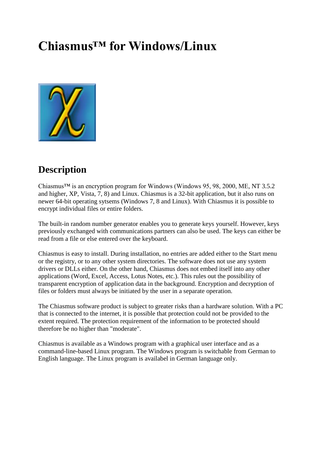## **Chiasmus™ for Windows/Linux**



## **Description**

Chiasmus<sup>™</sup> is an encryption program for Windows (Windows 95, 98, 2000, ME, NT 3.5.2) and higher, XP, Vista, 7, 8) and Linux. Chiasmus is a 32-bit application, but it also runs on newer 64-bit operating sytsems (Windows 7, 8 and Linux). With Chiasmus it is possible to encrypt individual files or entire folders.

The built-in random number generator enables you to generate keys yourself. However, keys previously exchanged with communications partners can also be used. The keys can either be read from a file or else entered over the keyboard.

Chiasmus is easy to install. During installation, no entries are added either to the Start menu or the registry, or to any other system directories. The software does not use any system drivers or DLLs either. On the other hand, Chiasmus does not embed itself into any other applications (Word, Excel, Access, Lotus Notes, etc.). This rules out the possibility of transparent encryption of application data in the background. Encryption and decryption of files or folders must always be initiated by the user in a separate operation.

The Chiasmus software product is subject to greater risks than a hardware solution. With a PC that is connected to the internet, it is possible that protection could not be provided to the extent required. The protection requirement of the information to be protected should therefore be no higher than "moderate".

Chiasmus is available as a Windows program with a graphical user interface and as a command-line-based Linux program. The Windows program is switchable from German to English language. The Linux program is availabel in German language only.